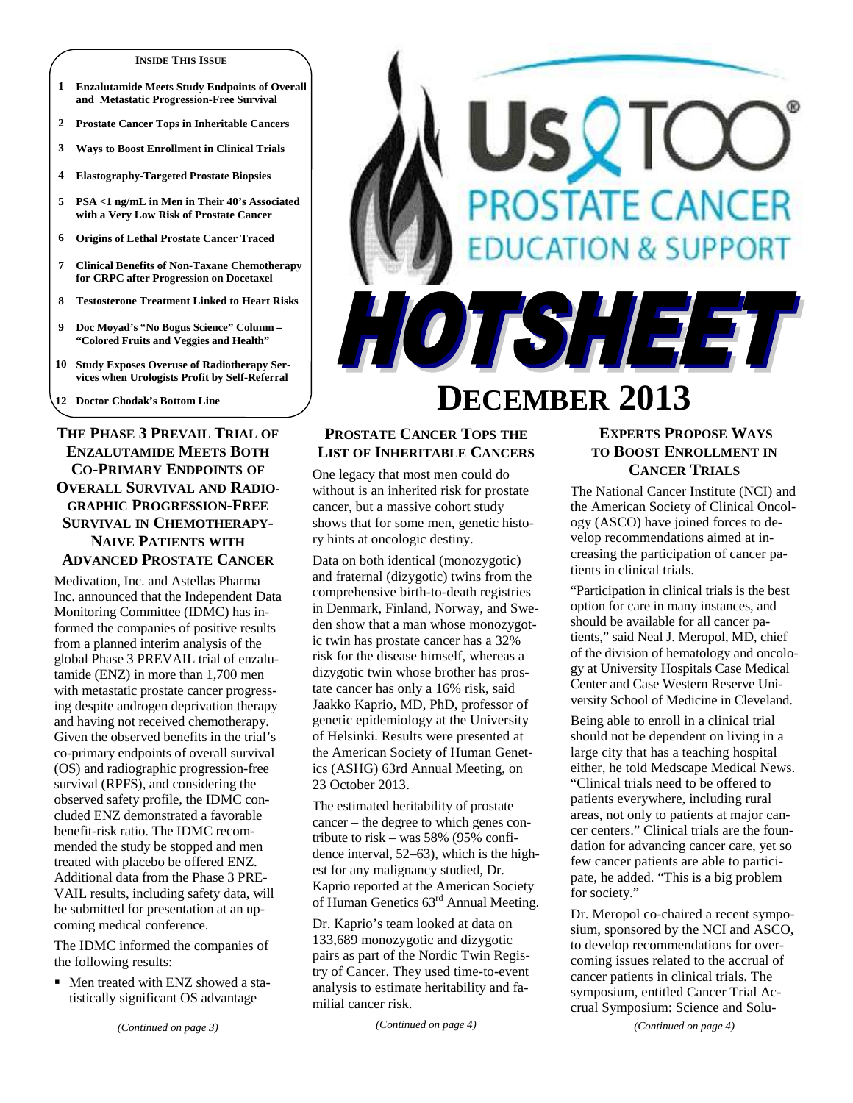#### **INSIDE THIS ISSUE**

- **1 Enzalutamide Meets Study Endpoints of Overall and Metastatic Progression-Free Survival**
- **2 Prostate Cancer Tops in Inheritable Cancers**
- **3 Ways to Boost Enrollment in Clinical Trials**
- **4 Elastography-Targeted Prostate Biopsies**
- **5 PSA <1 ng/mL in Men in Their 40's Associated with a Very Low Risk of Prostate Cancer**
- **6 Origins of Lethal Prostate Cancer Traced**
- **7 Clinical Benefits of Non-Taxane Chemotherapy for CRPC after Progression on Docetaxel**
- **8 Testosterone Treatment Linked to Heart Risks**
- **9 Doc Moyad's "No Bogus Science" Column "Colored Fruits and Veggies and Health"**
- **10 Study Exposes Overuse of Radiotherapy Services when Urologists Profit by Self-Referral**

**12 Doctor Chodak's Bottom Line** 

# **THE PHASE 3 PREVAIL TRIAL OF ENZALUTAMIDE MEETS BOTH CO-PRIMARY ENDPOINTS OF OVERALL SURVIVAL AND RADIO-GRAPHIC PROGRESSION-FREE SURVIVAL IN CHEMOTHERAPY-NAIVE PATIENTS WITH ADVANCED PROSTATE CANCER**

Medivation, Inc. and Astellas Pharma Inc. announced that the Independent Data Monitoring Committee (IDMC) has informed the companies of positive results from a planned interim analysis of the global Phase 3 PREVAIL trial of enzalutamide (ENZ) in more than 1,700 men with metastatic prostate cancer progressing despite androgen deprivation therapy and having not received chemotherapy. Given the observed benefits in the trial's co-primary endpoints of overall survival (OS) and radiographic progression-free survival (RPFS), and considering the observed safety profile, the IDMC concluded ENZ demonstrated a favorable benefit-risk ratio. The IDMC recommended the study be stopped and men treated with placebo be offered ENZ. Additional data from the Phase 3 PRE-VAIL results, including safety data, will be submitted for presentation at an upcoming medical conference.

The IDMC informed the companies of the following results:

• Men treated with ENZ showed a statistically significant OS advantage

# **OSTATE CANCER TON & SUPPORT** HOTSHEET

# **DECEMBER 2013**

# **PROSTATE CANCER TOPS THE LIST OF INHERITABLE CANCERS**

One legacy that most men could do without is an inherited risk for prostate cancer, but a massive cohort study shows that for some men, genetic history hints at oncologic destiny.

Data on both identical (monozygotic) and fraternal (dizygotic) twins from the comprehensive birth-to-death registries in Denmark, Finland, Norway, and Sweden show that a man whose monozygotic twin has prostate cancer has a 32% risk for the disease himself, whereas a dizygotic twin whose brother has prostate cancer has only a 16% risk, said Jaakko Kaprio, MD, PhD, professor of genetic epidemiology at the University of Helsinki. Results were presented at the American Society of Human Genetics (ASHG) 63rd Annual Meeting, on 23 October 2013.

The estimated heritability of prostate cancer – the degree to which genes contribute to risk – was 58% (95% confidence interval, 52–63), which is the highest for any malignancy studied, Dr. Kaprio reported at the American Society of Human Genetics 63rd Annual Meeting.

Dr. Kaprio's team looked at data on 133,689 monozygotic and dizygotic pairs as part of the Nordic Twin Registry of Cancer. They used time-to-event analysis to estimate heritability and familial cancer risk.

*(Continued on page 4)* 

# **EXPERTS PROPOSE WAYS TO BOOST ENROLLMENT IN CANCER TRIALS**

The National Cancer Institute (NCI) and the American Society of Clinical Oncology (ASCO) have joined forces to develop recommendations aimed at increasing the participation of cancer patients in clinical trials.

"Participation in clinical trials is the best option for care in many instances, and should be available for all cancer patients," said Neal J. Meropol, MD, chief of the division of hematology and oncology at University Hospitals Case Medical Center and Case Western Reserve University School of Medicine in Cleveland.

Being able to enroll in a clinical trial should not be dependent on living in a large city that has a teaching hospital either, he told Medscape Medical News. "Clinical trials need to be offered to patients everywhere, including rural areas, not only to patients at major cancer centers." Clinical trials are the foundation for advancing cancer care, yet so few cancer patients are able to participate, he added. "This is a big problem for society."

Dr. Meropol co-chaired a recent symposium, sponsored by the NCI and ASCO, to develop recommendations for overcoming issues related to the accrual of cancer patients in clinical trials. The symposium, entitled Cancer Trial Accrual Symposium: Science and Solu-

*(Continued on page 4)*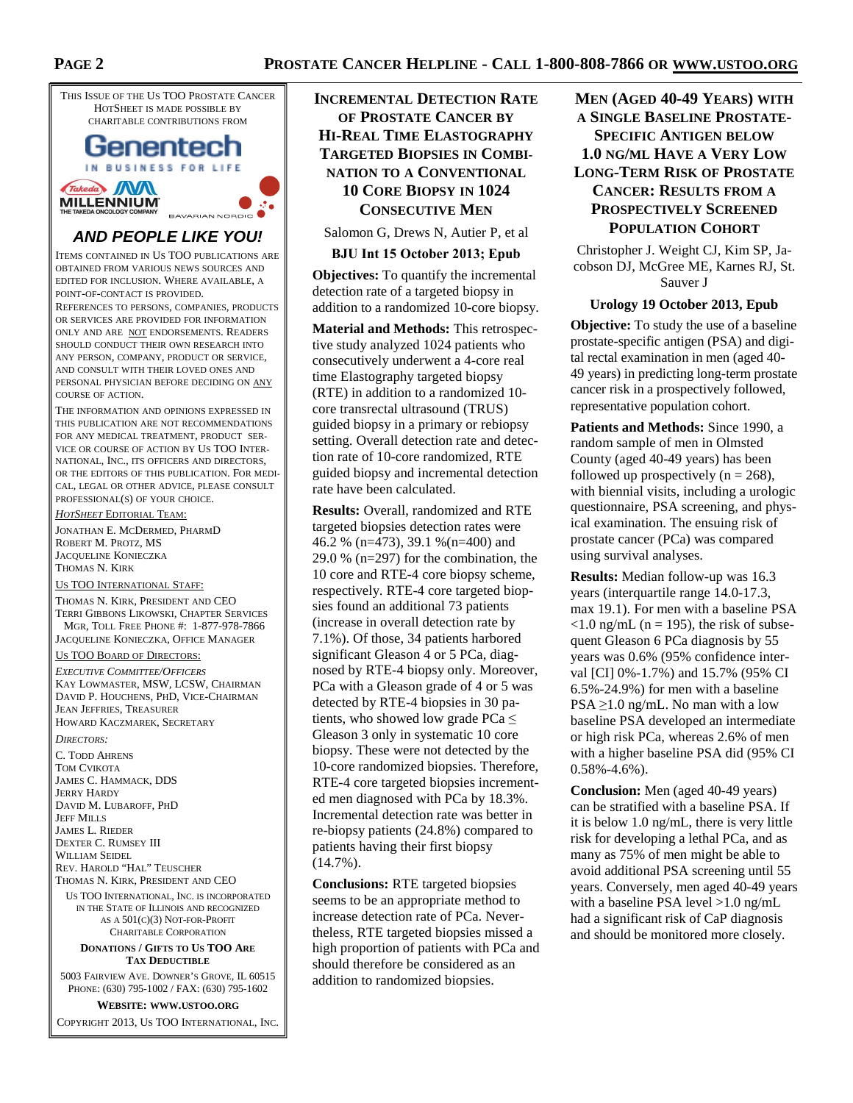

#### IN BUSINESS FOR LIFE Takeda WM **MILLENNIUM** BAVARIAN NORDIC

# **AND PEOPLE LIKE YOU!**

ITEMS CONTAINED IN US TOO PUBLICATIONS ARE OBTAINED FROM VARIOUS NEWS SOURCES AND EDITED FOR INCLUSION. WHERE AVAILABLE, A POINT-OF-CONTACT IS PROVIDED.

REFERENCES TO PERSONS, COMPANIES, PRODUCTS OR SERVICES ARE PROVIDED FOR INFORMATION ONLY AND ARE NOT ENDORSEMENTS. READERS SHOULD CONDUCT THEIR OWN RESEARCH INTO ANY PERSON, COMPANY, PRODUCT OR SERVICE, AND CONSULT WITH THEIR LOVED ONES AND PERSONAL PHYSICIAN BEFORE DECIDING ON ANY COURSE OF ACTION.

THE INFORMATION AND OPINIONS EXPRESSED IN THIS PUBLICATION ARE NOT RECOMMENDATIONS FOR ANY MEDICAL TREATMENT, PRODUCT SER-VICE OR COURSE OF ACTION BY US TOO INTER-NATIONAL, INC., ITS OFFICERS AND DIRECTORS, OR THE EDITORS OF THIS PUBLICATION. FOR MEDI-CAL, LEGAL OR OTHER ADVICE, PLEASE CONSULT PROFESSIONAL(S) OF YOUR CHOICE.

*HOTSHEET* EDITORIAL TEAM:

JONATHAN E. MCDERMED, PHARMD ROBERT M. PROTZ, MS JACQUELINE KONIECZKA THOMAS N. KIRK

US TOO INTERNATIONAL STAFF:

THOMAS N. KIRK, PRESIDENT AND CEO TERRI GIBBONS LIKOWSKI, CHAPTER SERVICES MGR, TOLL FREE PHONE #: 1-877-978-7866 JACQUELINE KONIECZKA, OFFICE MANAGER

US TOO BOARD OF DIRECTORS:

*EXECUTIVE COMMITTEE/OFFICERS* KAY LOWMASTER, MSW, LCSW, CHAIRMAN DAVID P. HOUCHENS, PHD, VICE-CHAIRMAN JEAN JEFFRIES, TREASURER HOWARD KACZMAREK, SECRETARY

*DIRECTORS:* 

C. TODD AHRENS TOM CVIKOTA JAMES C. HAMMACK, DDS JERRY HARDY DAVID M. LUBAROFF, PHD **JEFF MILLS** JAMES L. RIEDER DEXTER C. RUMSEY III WILLIAM SEIDEL REV. HAROLD "HAL" TEUSCHER THOMAS N. KIRK, PRESIDENT AND CEO

US TOO INTERNATIONAL, INC. IS INCORPORATED IN THE STATE OF ILLINOIS AND RECOGNIZED AS A 501(C)(3) NOT-FOR-PROFIT CHARITABLE CORPORATION

#### **DONATIONS / GIFTS TO US TOO ARE TAX DEDUCTIBLE**

5003 FAIRVIEW AVE. DOWNER'S GROVE, IL 60515 PHONE: (630) 795-1002 / FAX: (630) 795-1602

**WEBSITE: WWW.USTOO.ORG**

COPYRIGHT 2013, US TOO INTERNATIONAL, INC.

**INCREMENTAL DETECTION RATE OF PROSTATE CANCER BY HI-REAL TIME ELASTOGRAPHY TARGETED BIOPSIES IN COMBI-NATION TO A CONVENTIONAL 10 CORE BIOPSY IN 1024 CONSECUTIVE MEN**

Salomon G, Drews N, Autier P, et al

#### **BJU Int 15 October 2013; Epub**

**Objectives:** To quantify the incremental detection rate of a targeted biopsy in addition to a randomized 10-core biopsy.

**Material and Methods:** This retrospective study analyzed 1024 patients who consecutively underwent a 4-core real time Elastography targeted biopsy (RTE) in addition to a randomized 10 core transrectal ultrasound (TRUS) guided biopsy in a primary or rebiopsy setting. Overall detection rate and detection rate of 10-core randomized, RTE guided biopsy and incremental detection rate have been calculated.

**Results:** Overall, randomized and RTE targeted biopsies detection rates were 46.2 % (n=473), 39.1 %(n=400) and 29.0 % (n=297) for the combination, the 10 core and RTE-4 core biopsy scheme, respectively. RTE-4 core targeted biopsies found an additional 73 patients (increase in overall detection rate by 7.1%). Of those, 34 patients harbored significant Gleason 4 or 5 PCa, diagnosed by RTE-4 biopsy only. Moreover, PCa with a Gleason grade of 4 or 5 was detected by RTE-4 biopsies in 30 patients, who showed low grade PCa  $\leq$ Gleason 3 only in systematic 10 core biopsy. These were not detected by the 10-core randomized biopsies. Therefore, RTE-4 core targeted biopsies incremented men diagnosed with PCa by 18.3%. Incremental detection rate was better in re-biopsy patients (24.8%) compared to patients having their first biopsy (14.7%).

**Conclusions:** RTE targeted biopsies seems to be an appropriate method to increase detection rate of PCa. Nevertheless, RTE targeted biopsies missed a high proportion of patients with PCa and should therefore be considered as an addition to randomized biopsies.

# **MEN (AGED 40-49 YEARS) WITH A SINGLE BASELINE PROSTATE-SPECIFIC ANTIGEN BELOW 1.0 NG/ML HAVE A VERY LOW LONG-TERM RISK OF PROSTATE CANCER: RESULTS FROM A PROSPECTIVELY SCREENED POPULATION COHORT**

Christopher J. Weight CJ, Kim SP, Jacobson DJ, McGree ME, Karnes RJ, St. Sauver J

#### **Urology 19 October 2013, Epub**

**Objective:** To study the use of a baseline prostate-specific antigen (PSA) and digital rectal examination in men (aged 40- 49 years) in predicting long-term prostate cancer risk in a prospectively followed, representative population cohort.

**Patients and Methods:** Since 1990, a random sample of men in Olmsted County (aged 40-49 years) has been followed up prospectively ( $n = 268$ ), with biennial visits, including a urologic questionnaire, PSA screening, and physical examination. The ensuing risk of prostate cancer (PCa) was compared using survival analyses.

**Results:** Median follow-up was 16.3 years (interquartile range 14.0-17.3, max 19.1). For men with a baseline PSA  $\langle 1.0 \text{ ng/mL}$  (n = 195), the risk of subsequent Gleason 6 PCa diagnosis by 55 years was 0.6% (95% confidence interval [CI] 0%-1.7%) and 15.7% (95% CI 6.5%-24.9%) for men with a baseline  $PSA \geq 1.0$  ng/mL. No man with a low baseline PSA developed an intermediate or high risk PCa, whereas 2.6% of men with a higher baseline PSA did (95% CI  $0.58\% - 4.6\%$ ).

**Conclusion:** Men (aged 40-49 years) can be stratified with a baseline PSA. If it is below 1.0 ng/mL, there is very little risk for developing a lethal PCa, and as many as 75% of men might be able to avoid additional PSA screening until 55 years. Conversely, men aged 40-49 years with a baseline PSA level > 1.0 ng/mL had a significant risk of CaP diagnosis and should be monitored more closely.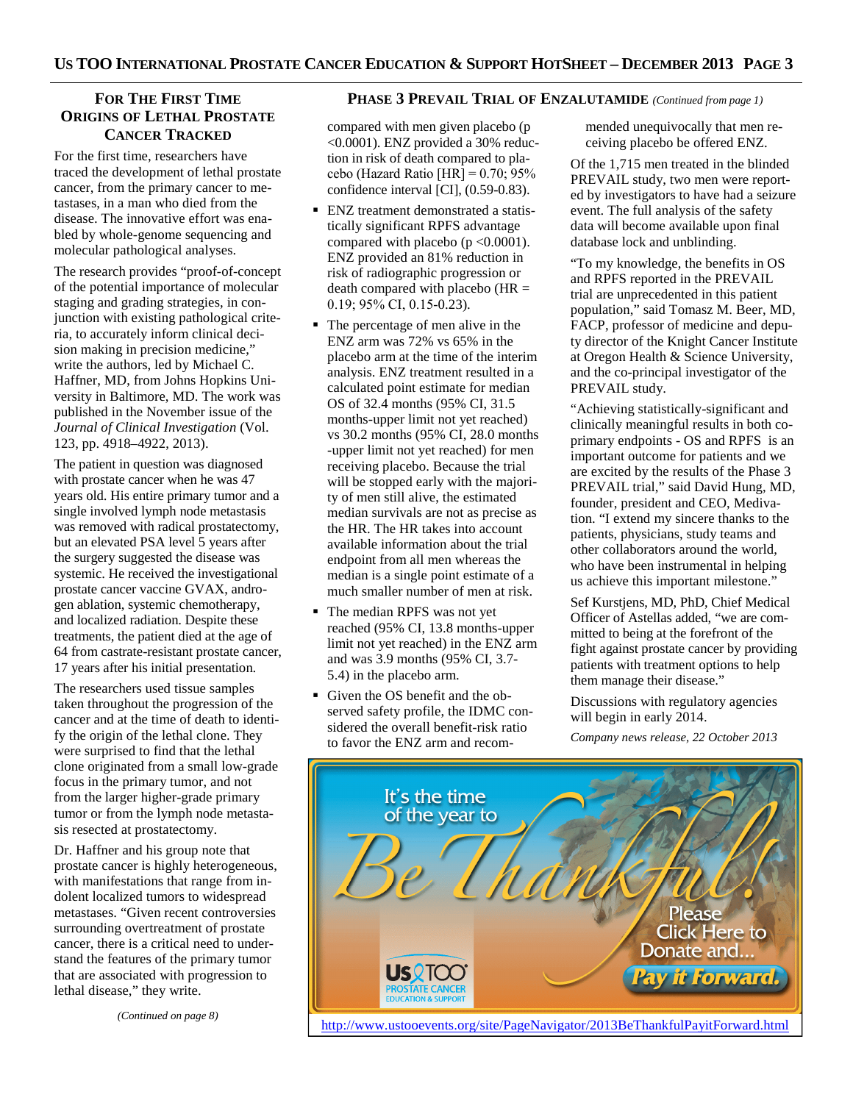# **FOR THE FIRST TIME ORIGINS OF LETHAL PROSTATE CANCER TRACKED**

For the first time, researchers have traced the development of lethal prostate cancer, from the primary cancer to metastases, in a man who died from the disease. The innovative effort was enabled by whole-genome sequencing and molecular pathological analyses.

The research provides "proof-of-concept of the potential importance of molecular staging and grading strategies, in conjunction with existing pathological criteria, to accurately inform clinical decision making in precision medicine," write the authors, led by Michael C. Haffner, MD, from Johns Hopkins University in Baltimore, MD. The work was published in the November issue of the *Journal of Clinical Investigation* (Vol. 123, pp. 4918–4922, 2013).

The patient in question was diagnosed with prostate cancer when he was 47 years old. His entire primary tumor and a single involved lymph node metastasis was removed with radical prostatectomy, but an elevated PSA level 5 years after the surgery suggested the disease was systemic. He received the investigational prostate cancer vaccine GVAX, androgen ablation, systemic chemotherapy, and localized radiation. Despite these treatments, the patient died at the age of 64 from castrate-resistant prostate cancer, 17 years after his initial presentation.

The researchers used tissue samples taken throughout the progression of the cancer and at the time of death to identify the origin of the lethal clone. They were surprised to find that the lethal clone originated from a small low-grade focus in the primary tumor, and not from the larger higher-grade primary tumor or from the lymph node metastasis resected at prostatectomy.

Dr. Haffner and his group note that prostate cancer is highly heterogeneous, with manifestations that range from indolent localized tumors to widespread metastases. "Given recent controversies surrounding overtreatment of prostate cancer, there is a critical need to understand the features of the primary tumor that are associated with progression to lethal disease," they write.

*(Continued on page 8)* 

## **PHASE 3 PREVAIL TRIAL OF ENZALUTAMIDE** *(Continued from page 1)*

compared with men given placebo (p <0.0001). ENZ provided a 30% reduction in risk of death compared to placebo (Hazard Ratio [HR] =  $0.70$ ;  $95\%$ confidence interval [CI], (0.59-0.83).

- ENZ treatment demonstrated a statistically significant RPFS advantage compared with placebo ( $p \le 0.0001$ ). ENZ provided an 81% reduction in risk of radiographic progression or death compared with placebo  $(HR =$ 0.19; 95% CI, 0.15-0.23).
- The percentage of men alive in the ENZ arm was 72% vs 65% in the placebo arm at the time of the interim analysis. ENZ treatment resulted in a calculated point estimate for median OS of 32.4 months (95% CI, 31.5 months-upper limit not yet reached) vs 30.2 months (95% CI, 28.0 months -upper limit not yet reached) for men receiving placebo. Because the trial will be stopped early with the majority of men still alive, the estimated median survivals are not as precise as the HR. The HR takes into account available information about the trial endpoint from all men whereas the median is a single point estimate of a much smaller number of men at risk.
- The median RPFS was not yet reached (95% CI, 13.8 months-upper limit not yet reached) in the ENZ arm and was 3.9 months (95% CI, 3.7- 5.4) in the placebo arm.
- Given the OS benefit and the observed safety profile, the IDMC considered the overall benefit-risk ratio to favor the ENZ arm and recom-

mended unequivocally that men receiving placebo be offered ENZ.

Of the 1,715 men treated in the blinded PREVAIL study, two men were reported by investigators to have had a seizure event. The full analysis of the safety data will become available upon final database lock and unblinding.

"To my knowledge, the benefits in OS and RPFS reported in the PREVAIL trial are unprecedented in this patient population," said Tomasz M. Beer, MD, FACP, professor of medicine and deputy director of the Knight Cancer Institute at Oregon Health & Science University, and the co-principal investigator of the PREVAIL study.

"Achieving statistically-significant and clinically meaningful results in both coprimary endpoints - OS and RPFS is an important outcome for patients and we are excited by the results of the Phase 3 PREVAIL trial," said David Hung, MD, founder, president and CEO, Medivation. "I extend my sincere thanks to the patients, physicians, study teams and other collaborators around the world, who have been instrumental in helping us achieve this important milestone."

Sef Kurstjens, MD, PhD, Chief Medical Officer of Astellas added, "we are committed to being at the forefront of the fight against prostate cancer by providing patients with treatment options to help them manage their disease."

Discussions with regulatory agencies will begin in early 2014.

*Company news release, 22 October 2013* 

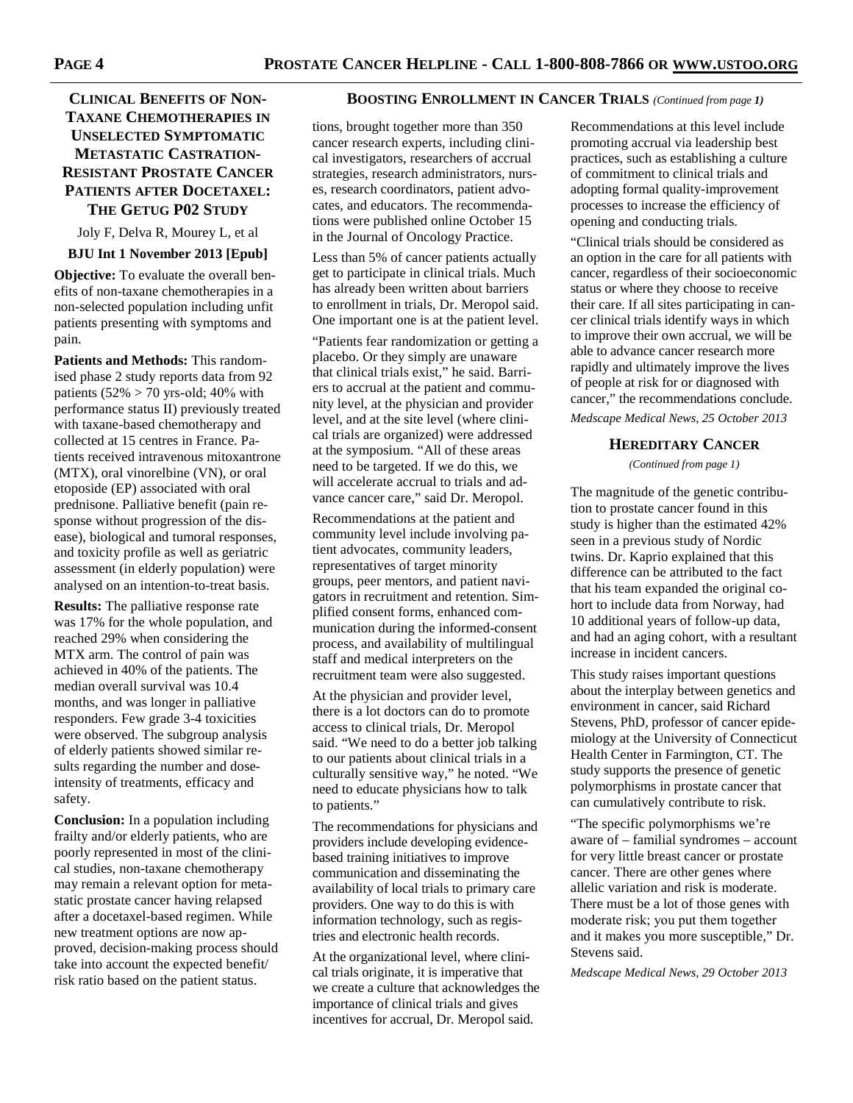# **TAXANE CHEMOTHERAPIES IN UNSELECTED SYMPTOMATIC METASTATIC CASTRATION-RESISTANT PROSTATE CANCER PATIENTS AFTER DOCETAXEL: THE GETUG P02 STUDY**

Joly F, Delva R, Mourey L, et al

**BJU Int 1 November 2013 [Epub]** 

**Objective:** To evaluate the overall benefits of non-taxane chemotherapies in a non-selected population including unfit patients presenting with symptoms and pain.

**Patients and Methods:** This randomised phase 2 study reports data from 92 patients  $(52\% > 70 \text{ yrs-old}; 40\% \text{ with}$ performance status II) previously treated with taxane-based chemotherapy and collected at 15 centres in France. Patients received intravenous mitoxantrone (MTX), oral vinorelbine (VN), or oral etoposide (EP) associated with oral prednisone. Palliative benefit (pain response without progression of the disease), biological and tumoral responses, and toxicity profile as well as geriatric assessment (in elderly population) were analysed on an intention-to-treat basis.

**Results:** The palliative response rate was 17% for the whole population, and reached 29% when considering the MTX arm. The control of pain was achieved in 40% of the patients. The median overall survival was 10.4 months, and was longer in palliative responders. Few grade 3-4 toxicities were observed. The subgroup analysis of elderly patients showed similar results regarding the number and doseintensity of treatments, efficacy and safety.

**Conclusion:** In a population including frailty and/or elderly patients, who are poorly represented in most of the clinical studies, non-taxane chemotherapy may remain a relevant option for metastatic prostate cancer having relapsed after a docetaxel-based regimen. While new treatment options are now approved, decision-making process should take into account the expected benefit/ risk ratio based on the patient status.

#### **CLINICAL BENEFITS OF NON- BOOSTING ENROLLMENT IN CANCER TRIALS** *(Continued from page 1)*

tions, brought together more than 350 cancer research experts, including clinical investigators, researchers of accrual strategies, research administrators, nurses, research coordinators, patient advocates, and educators. The recommendations were published online October 15 in the Journal of Oncology Practice.

Less than 5% of cancer patients actually get to participate in clinical trials. Much has already been written about barriers to enrollment in trials, Dr. Meropol said. One important one is at the patient level.

"Patients fear randomization or getting a placebo. Or they simply are unaware that clinical trials exist," he said. Barriers to accrual at the patient and community level, at the physician and provider level, and at the site level (where clinical trials are organized) were addressed at the symposium. "All of these areas need to be targeted. If we do this, we will accelerate accrual to trials and advance cancer care," said Dr. Meropol.

Recommendations at the patient and community level include involving patient advocates, community leaders, representatives of target minority groups, peer mentors, and patient navigators in recruitment and retention. Simplified consent forms, enhanced communication during the informed-consent process, and availability of multilingual staff and medical interpreters on the recruitment team were also suggested.

At the physician and provider level, there is a lot doctors can do to promote access to clinical trials, Dr. Meropol said. "We need to do a better job talking to our patients about clinical trials in a culturally sensitive way," he noted. "We need to educate physicians how to talk to patients."

The recommendations for physicians and providers include developing evidencebased training initiatives to improve communication and disseminating the availability of local trials to primary care providers. One way to do this is with information technology, such as registries and electronic health records.

At the organizational level, where clinical trials originate, it is imperative that we create a culture that acknowledges the importance of clinical trials and gives incentives for accrual, Dr. Meropol said.

Recommendations at this level include promoting accrual via leadership best practices, such as establishing a culture of commitment to clinical trials and adopting formal quality-improvement processes to increase the efficiency of opening and conducting trials.

"Clinical trials should be considered as an option in the care for all patients with cancer, regardless of their socioeconomic status or where they choose to receive their care. If all sites participating in cancer clinical trials identify ways in which to improve their own accrual, we will be able to advance cancer research more rapidly and ultimately improve the lives of people at risk for or diagnosed with cancer," the recommendations conclude. *Medscape Medical News, 25 October 2013* 

#### **HEREDITARY CANCER**

*(Continued from page 1)* 

The magnitude of the genetic contribution to prostate cancer found in this study is higher than the estimated 42% seen in a previous study of Nordic twins. Dr. Kaprio explained that this difference can be attributed to the fact that his team expanded the original cohort to include data from Norway, had 10 additional years of follow-up data, and had an aging cohort, with a resultant increase in incident cancers.

This study raises important questions about the interplay between genetics and environment in cancer, said Richard Stevens, PhD, professor of cancer epidemiology at the University of Connecticut Health Center in Farmington, CT. The study supports the presence of genetic polymorphisms in prostate cancer that can cumulatively contribute to risk.

"The specific polymorphisms we're aware of – familial syndromes – account for very little breast cancer or prostate cancer. There are other genes where allelic variation and risk is moderate. There must be a lot of those genes with moderate risk; you put them together and it makes you more susceptible," Dr. Stevens said.

*Medscape Medical News, 29 October 2013*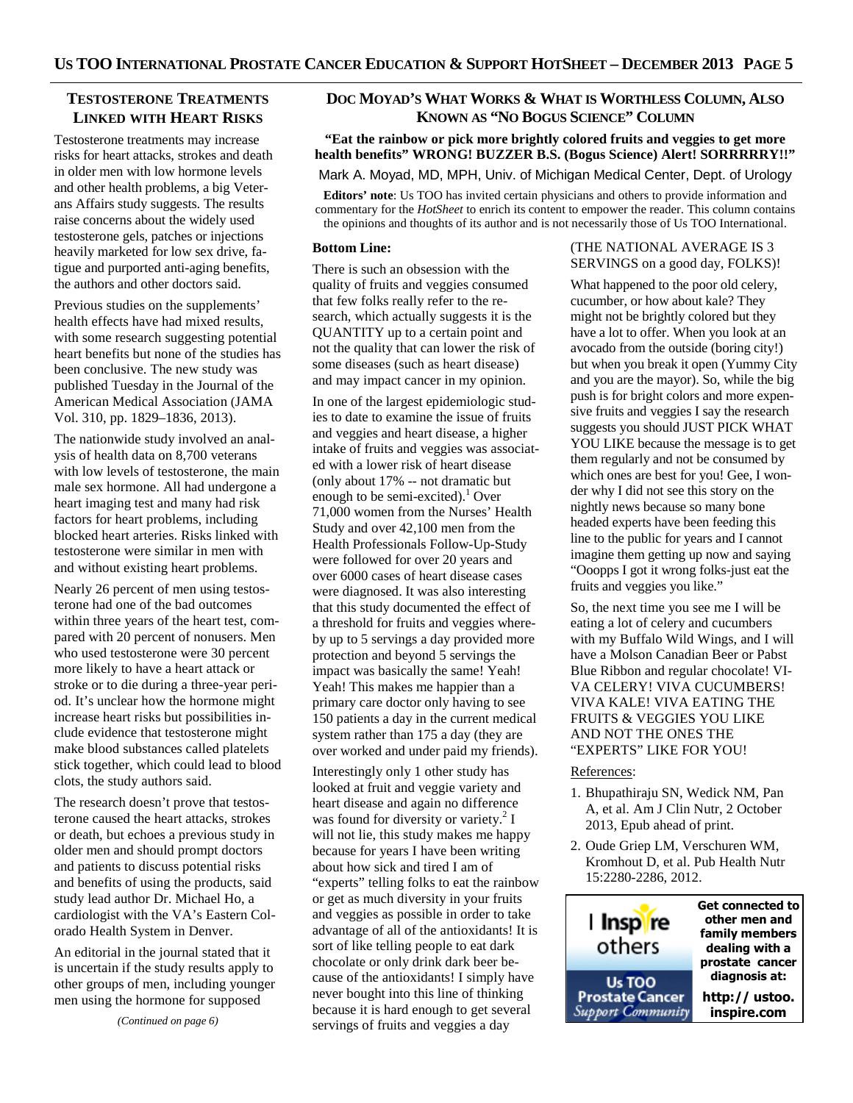# **TESTOSTERONE TREATMENTS LINKED WITH HEART RISKS**

Testosterone treatments may increase risks for heart attacks, strokes and death in older men with low hormone levels and other health problems, a big Veterans Affairs study suggests. The results raise concerns about the widely used testosterone gels, patches or injections heavily marketed for low sex drive, fatigue and purported anti-aging benefits, the authors and other doctors said.

Previous studies on the supplements' health effects have had mixed results, with some research suggesting potential heart benefits but none of the studies has been conclusive. The new study was published Tuesday in the Journal of the American Medical Association (JAMA Vol. 310, pp. 1829–1836, 2013).

The nationwide study involved an analysis of health data on 8,700 veterans with low levels of testosterone, the main male sex hormone. All had undergone a heart imaging test and many had risk factors for heart problems, including blocked heart arteries. Risks linked with testosterone were similar in men with and without existing heart problems.

Nearly 26 percent of men using testosterone had one of the bad outcomes within three years of the heart test, compared with 20 percent of nonusers. Men who used testosterone were 30 percent more likely to have a heart attack or stroke or to die during a three-year period. It's unclear how the hormone might increase heart risks but possibilities include evidence that testosterone might make blood substances called platelets stick together, which could lead to blood clots, the study authors said.

The research doesn't prove that testosterone caused the heart attacks, strokes or death, but echoes a previous study in older men and should prompt doctors and patients to discuss potential risks and benefits of using the products, said study lead author Dr. Michael Ho, a cardiologist with the VA's Eastern Colorado Health System in Denver.

An editorial in the journal stated that it is uncertain if the study results apply to other groups of men, including younger men using the hormone for supposed

*(Continued on page 6)* 

# **DOC MOYAD'S WHAT WORKS & WHAT IS WORTHLESS COLUMN, ALSO KNOWN AS "NO BOGUS SCIENCE" COLUMN**

**"Eat the rainbow or pick more brightly colored fruits and veggies to get more health benefits" WRONG! BUZZER B.S. (Bogus Science) Alert! SORRRRRY!!"** 

#### Mark A. Moyad, MD, MPH, Univ. of Michigan Medical Center, Dept. of Urology

**Editors' note**: Us TOO has invited certain physicians and others to provide information and commentary for the *HotSheet* to enrich its content to empower the reader. This column contains the opinions and thoughts of its author and is not necessarily those of Us TOO International.

#### **Bottom Line:**

There is such an obsession with the quality of fruits and veggies consumed that few folks really refer to the research, which actually suggests it is the QUANTITY up to a certain point and not the quality that can lower the risk of some diseases (such as heart disease) and may impact cancer in my opinion.

In one of the largest epidemiologic studies to date to examine the issue of fruits and veggies and heart disease, a higher intake of fruits and veggies was associated with a lower risk of heart disease (only about 17% -- not dramatic but enough to be semi-excited).<sup>1</sup> Over 71,000 women from the Nurses' Health Study and over 42,100 men from the Health Professionals Follow-Up-Study were followed for over 20 years and over 6000 cases of heart disease cases were diagnosed. It was also interesting that this study documented the effect of a threshold for fruits and veggies whereby up to 5 servings a day provided more protection and beyond 5 servings the impact was basically the same! Yeah! Yeah! This makes me happier than a primary care doctor only having to see 150 patients a day in the current medical system rather than 175 a day (they are over worked and under paid my friends).

Interestingly only 1 other study has looked at fruit and veggie variety and heart disease and again no difference was found for diversity or variety.<sup>2</sup> I will not lie, this study makes me happy because for years I have been writing about how sick and tired I am of "experts" telling folks to eat the rainbow or get as much diversity in your fruits and veggies as possible in order to take advantage of all of the antioxidants! It is sort of like telling people to eat dark chocolate or only drink dark beer because of the antioxidants! I simply have never bought into this line of thinking because it is hard enough to get several servings of fruits and veggies a day

#### (THE NATIONAL AVERAGE IS 3 SERVINGS on a good day, FOLKS)!

What happened to the poor old celery, cucumber, or how about kale? They might not be brightly colored but they have a lot to offer. When you look at an avocado from the outside (boring city!) but when you break it open (Yummy City and you are the mayor). So, while the big push is for bright colors and more expensive fruits and veggies I say the research suggests you should JUST PICK WHAT YOU LIKE because the message is to get them regularly and not be consumed by which ones are best for you! Gee, I wonder why I did not see this story on the nightly news because so many bone headed experts have been feeding this line to the public for years and I cannot imagine them getting up now and saying "Ooopps I got it wrong folks-just eat the fruits and veggies you like."

So, the next time you see me I will be eating a lot of celery and cucumbers with my Buffalo Wild Wings, and I will have a Molson Canadian Beer or Pabst Blue Ribbon and regular chocolate! VI-VA CELERY! VIVA CUCUMBERS! VIVA KALE! VIVA EATING THE FRUITS & VEGGIES YOU LIKE AND NOT THE ONES THE "EXPERTS" LIKE FOR YOU!

#### References:

- 1. Bhupathiraju SN, Wedick NM, Pan A, et al. Am J Clin Nutr, 2 October 2013, Epub ahead of print.
- 2. Oude Griep LM, Verschuren WM, Kromhout D, et al. Pub Health Nutr 15:2280-2286, 2012.

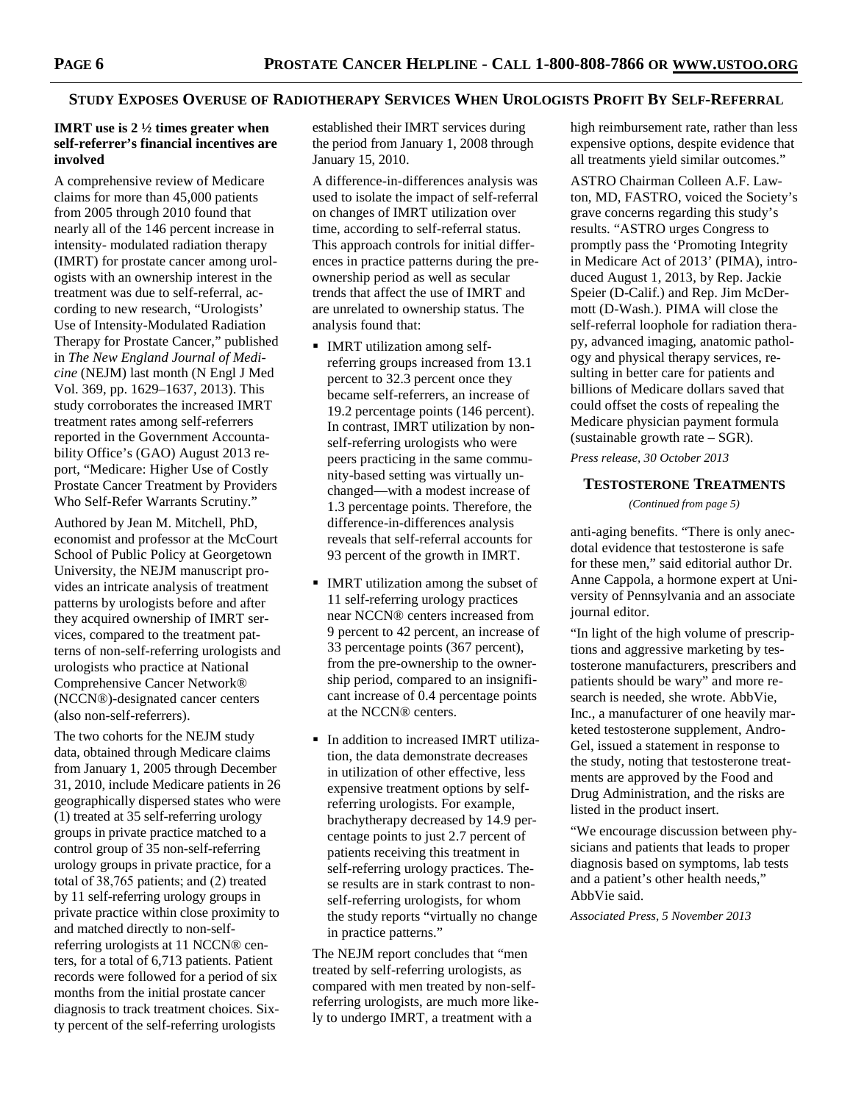#### STUDY EXPOSES OVERUSE OF RADIOTHERAPY SERVICES WHEN UROLOGISTS PROFIT BY SELF-REFERRAL

#### **IMRT use is 2 ½ times greater when self-referrer's financial incentives are involved**

A comprehensive review of Medicare claims for more than 45,000 patients from 2005 through 2010 found that nearly all of the 146 percent increase in intensity- modulated radiation therapy (IMRT) for prostate cancer among urologists with an ownership interest in the treatment was due to self-referral, according to new research, "Urologists' Use of Intensity-Modulated Radiation Therapy for Prostate Cancer," published in *The New England Journal of Medicine* (NEJM) last month (N Engl J Med Vol. 369, pp. 1629–1637, 2013). This study corroborates the increased IMRT treatment rates among self-referrers reported in the Government Accountability Office's (GAO) August 2013 report, "Medicare: Higher Use of Costly Prostate Cancer Treatment by Providers Who Self-Refer Warrants Scrutiny."

Authored by Jean M. Mitchell, PhD, economist and professor at the McCourt School of Public Policy at Georgetown University, the NEJM manuscript provides an intricate analysis of treatment patterns by urologists before and after they acquired ownership of IMRT services, compared to the treatment patterns of non-self-referring urologists and urologists who practice at National Comprehensive Cancer Network® (NCCN®)-designated cancer centers (also non-self-referrers).

The two cohorts for the NEJM study data, obtained through Medicare claims from January 1, 2005 through December 31, 2010, include Medicare patients in 26 geographically dispersed states who were (1) treated at 35 self-referring urology groups in private practice matched to a control group of 35 non-self-referring urology groups in private practice, for a total of 38,765 patients; and (2) treated by 11 self-referring urology groups in private practice within close proximity to and matched directly to non-selfreferring urologists at 11 NCCN® centers, for a total of 6,713 patients. Patient records were followed for a period of six months from the initial prostate cancer diagnosis to track treatment choices. Sixty percent of the self-referring urologists

established their IMRT services during the period from January 1, 2008 through January 15, 2010.

A difference-in-differences analysis was used to isolate the impact of self-referral on changes of IMRT utilization over time, according to self-referral status. This approach controls for initial differences in practice patterns during the preownership period as well as secular trends that affect the use of IMRT and are unrelated to ownership status. The analysis found that:

- IMRT utilization among selfreferring groups increased from 13.1 percent to 32.3 percent once they became self-referrers, an increase of 19.2 percentage points (146 percent). In contrast, IMRT utilization by nonself-referring urologists who were peers practicing in the same community-based setting was virtually unchanged—with a modest increase of 1.3 percentage points. Therefore, the difference-in-differences analysis reveals that self-referral accounts for 93 percent of the growth in IMRT.
- **IMRT** utilization among the subset of 11 self-referring urology practices near NCCN® centers increased from 9 percent to 42 percent, an increase of 33 percentage points (367 percent), from the pre-ownership to the ownership period, compared to an insignificant increase of 0.4 percentage points at the NCCN® centers.
- In addition to increased **IMRT** utilization, the data demonstrate decreases in utilization of other effective, less expensive treatment options by selfreferring urologists. For example, brachytherapy decreased by 14.9 percentage points to just 2.7 percent of patients receiving this treatment in self-referring urology practices. These results are in stark contrast to nonself-referring urologists, for whom the study reports "virtually no change in practice patterns."

The NEJM report concludes that "men treated by self-referring urologists, as compared with men treated by non-selfreferring urologists, are much more likely to undergo IMRT, a treatment with a

high reimbursement rate, rather than less expensive options, despite evidence that all treatments yield similar outcomes."

ASTRO Chairman Colleen A.F. Lawton, MD, FASTRO, voiced the Society's grave concerns regarding this study's results. "ASTRO urges Congress to promptly pass the 'Promoting Integrity in Medicare Act of 2013' (PIMA), introduced August 1, 2013, by Rep. Jackie Speier (D-Calif.) and Rep. Jim McDermott (D-Wash.). PIMA will close the self-referral loophole for radiation therapy, advanced imaging, anatomic pathology and physical therapy services, resulting in better care for patients and billions of Medicare dollars saved that could offset the costs of repealing the Medicare physician payment formula (sustainable growth rate – SGR).

*Press release, 30 October 2013* 

## **TESTOSTERONE TREATMENTS**

*(Continued from page 5)* 

anti-aging benefits. "There is only anecdotal evidence that testosterone is safe for these men," said editorial author Dr. Anne Cappola, a hormone expert at University of Pennsylvania and an associate journal editor.

"In light of the high volume of prescriptions and aggressive marketing by testosterone manufacturers, prescribers and patients should be wary" and more research is needed, she wrote. AbbVie, Inc., a manufacturer of one heavily marketed testosterone supplement, Andro-Gel, issued a statement in response to the study, noting that testosterone treatments are approved by the Food and Drug Administration, and the risks are listed in the product insert.

"We encourage discussion between physicians and patients that leads to proper diagnosis based on symptoms, lab tests and a patient's other health needs," AbbVie said.

*Associated Press, 5 November 2013*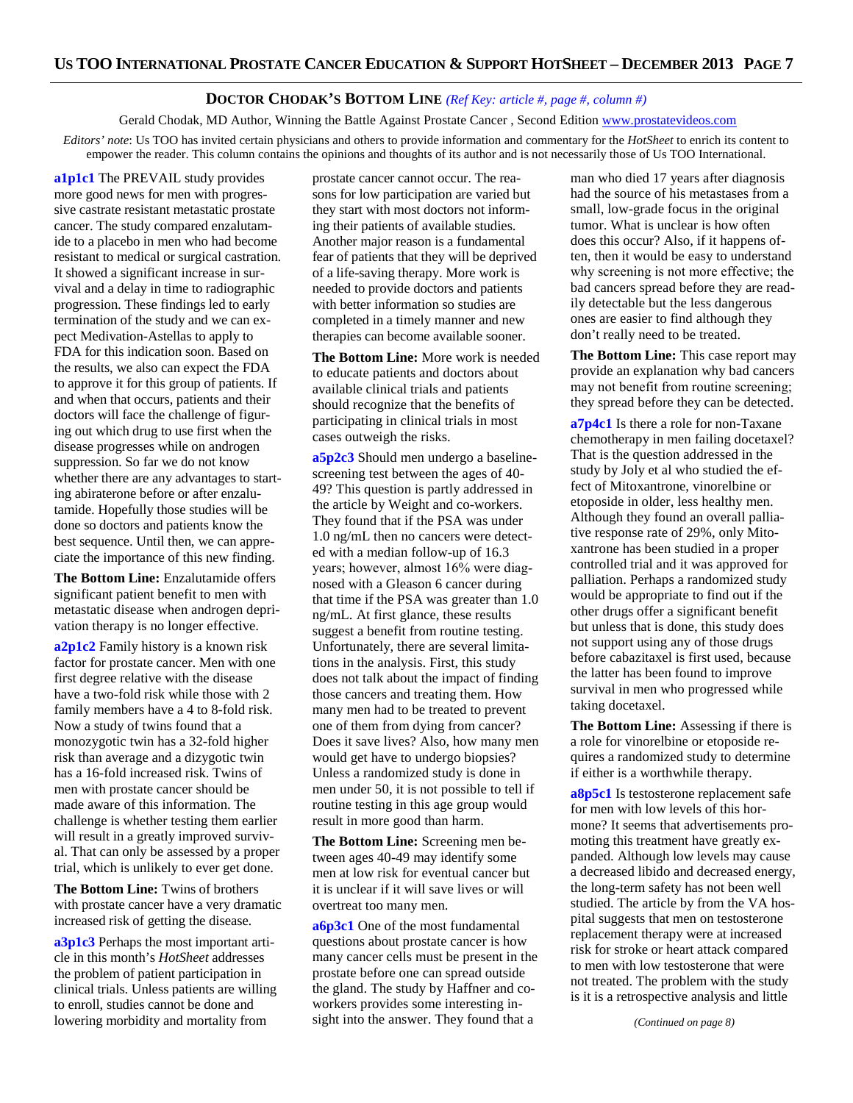# **DOCTOR CHODAK'S BOTTOM LINE** *(Ref Key: article #, page #, column #)*

Gerald Chodak, MD Author, Winning the Battle Against Prostate Cancer , Second Edition www.prostatevideos.com

*Editors' note*: Us TOO has invited certain physicians and others to provide information and commentary for the *HotSheet* to enrich its content to empower the reader. This column contains the opinions and thoughts of its author and is not necessarily those of Us TOO International.

**a1p1c1** The PREVAIL study provides more good news for men with progressive castrate resistant metastatic prostate cancer. The study compared enzalutamide to a placebo in men who had become resistant to medical or surgical castration. It showed a significant increase in survival and a delay in time to radiographic progression. These findings led to early termination of the study and we can expect Medivation-Astellas to apply to FDA for this indication soon. Based on the results, we also can expect the FDA to approve it for this group of patients. If and when that occurs, patients and their doctors will face the challenge of figuring out which drug to use first when the disease progresses while on androgen suppression. So far we do not know whether there are any advantages to starting abiraterone before or after enzalutamide. Hopefully those studies will be done so doctors and patients know the best sequence. Until then, we can appreciate the importance of this new finding.

**The Bottom Line:** Enzalutamide offers significant patient benefit to men with metastatic disease when androgen deprivation therapy is no longer effective.

**a2p1c2** Family history is a known risk factor for prostate cancer. Men with one first degree relative with the disease have a two-fold risk while those with 2 family members have a 4 to 8-fold risk. Now a study of twins found that a monozygotic twin has a 32-fold higher risk than average and a dizygotic twin has a 16-fold increased risk. Twins of men with prostate cancer should be made aware of this information. The challenge is whether testing them earlier will result in a greatly improved survival. That can only be assessed by a proper trial, which is unlikely to ever get done.

**The Bottom Line:** Twins of brothers with prostate cancer have a very dramatic increased risk of getting the disease.

**a3p1c3** Perhaps the most important article in this month's *HotSheet* addresses the problem of patient participation in clinical trials. Unless patients are willing to enroll, studies cannot be done and lowering morbidity and mortality from

prostate cancer cannot occur. The reasons for low participation are varied but they start with most doctors not informing their patients of available studies. Another major reason is a fundamental fear of patients that they will be deprived of a life-saving therapy. More work is needed to provide doctors and patients with better information so studies are completed in a timely manner and new therapies can become available sooner.

**The Bottom Line:** More work is needed to educate patients and doctors about available clinical trials and patients should recognize that the benefits of participating in clinical trials in most cases outweigh the risks.

**a5p2c3** Should men undergo a baselinescreening test between the ages of 40- 49? This question is partly addressed in the article by Weight and co-workers. They found that if the PSA was under 1.0 ng/mL then no cancers were detected with a median follow-up of 16.3 years; however, almost 16% were diagnosed with a Gleason 6 cancer during that time if the PSA was greater than 1.0 ng/mL. At first glance, these results suggest a benefit from routine testing. Unfortunately, there are several limitations in the analysis. First, this study does not talk about the impact of finding those cancers and treating them. How many men had to be treated to prevent one of them from dying from cancer? Does it save lives? Also, how many men would get have to undergo biopsies? Unless a randomized study is done in men under 50, it is not possible to tell if routine testing in this age group would result in more good than harm.

**The Bottom Line:** Screening men between ages 40-49 may identify some men at low risk for eventual cancer but it is unclear if it will save lives or will overtreat too many men.

**a6p3c1** One of the most fundamental questions about prostate cancer is how many cancer cells must be present in the prostate before one can spread outside the gland. The study by Haffner and coworkers provides some interesting insight into the answer. They found that a

man who died 17 years after diagnosis had the source of his metastases from a small, low-grade focus in the original tumor. What is unclear is how often does this occur? Also, if it happens often, then it would be easy to understand why screening is not more effective; the bad cancers spread before they are readily detectable but the less dangerous ones are easier to find although they don't really need to be treated.

**The Bottom Line:** This case report may provide an explanation why bad cancers may not benefit from routine screening; they spread before they can be detected.

**a7p4c1** Is there a role for non-Taxane chemotherapy in men failing docetaxel? That is the question addressed in the study by Joly et al who studied the effect of Mitoxantrone, vinorelbine or etoposide in older, less healthy men. Although they found an overall palliative response rate of 29%, only Mitoxantrone has been studied in a proper controlled trial and it was approved for palliation. Perhaps a randomized study would be appropriate to find out if the other drugs offer a significant benefit but unless that is done, this study does not support using any of those drugs before cabazitaxel is first used, because the latter has been found to improve survival in men who progressed while taking docetaxel.

**The Bottom Line:** Assessing if there is a role for vinorelbine or etoposide requires a randomized study to determine if either is a worthwhile therapy.

**a8p5c1** Is testosterone replacement safe for men with low levels of this hormone? It seems that advertisements promoting this treatment have greatly expanded. Although low levels may cause a decreased libido and decreased energy, the long-term safety has not been well studied. The article by from the VA hospital suggests that men on testosterone replacement therapy were at increased risk for stroke or heart attack compared to men with low testosterone that were not treated. The problem with the study is it is a retrospective analysis and little

*(Continued on page 8)*